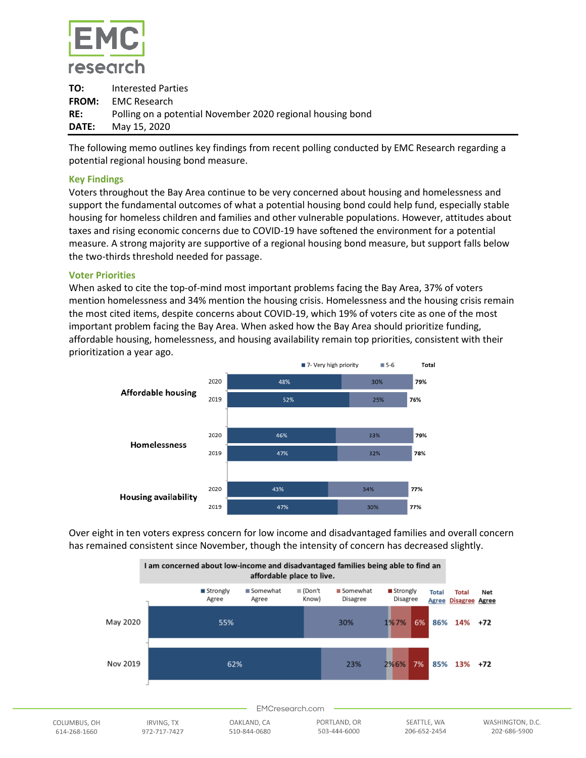

| TO: | Interested Parties                                         |
|-----|------------------------------------------------------------|
|     | <b>FROM:</b> EMC Research                                  |
| RE: | Polling on a potential November 2020 regional housing bond |
|     | <b>DATE:</b> May 15, 2020                                  |

The following memo outlines key findings from recent polling conducted by EMC Research regarding a potential regional housing bond measure.

# **Key Findings**

Voters throughout the Bay Area continue to be very concerned about housing and homelessness and support the fundamental outcomes of what a potential housing bond could help fund, especially stable housing for homeless children and families and other vulnerable populations. However, attitudes about taxes and rising economic concerns due to COVID-19 have softened the environment for a potential measure. A strong majority are supportive of a regional housing bond measure, but support falls below the two-thirds threshold needed for passage.

# **Voter Priorities**

When asked to cite the top-of-mind most important problems facing the Bay Area, 37% of voters mention homelessness and 34% mention the housing crisis. Homelessness and the housing crisis remain the most cited items, despite concerns about COVID-19, which 19% of voters cite as one of the most important problem facing the Bay Area. When asked how the Bay Area should prioritize funding, affordable housing, homelessness, and housing availability remain top priorities, consistent with their prioritization a year ago.



Over eight in ten voters express concern for low income and disadvantaged families and overall concern has remained consistent since November, though the intensity of concern has decreased slightly.

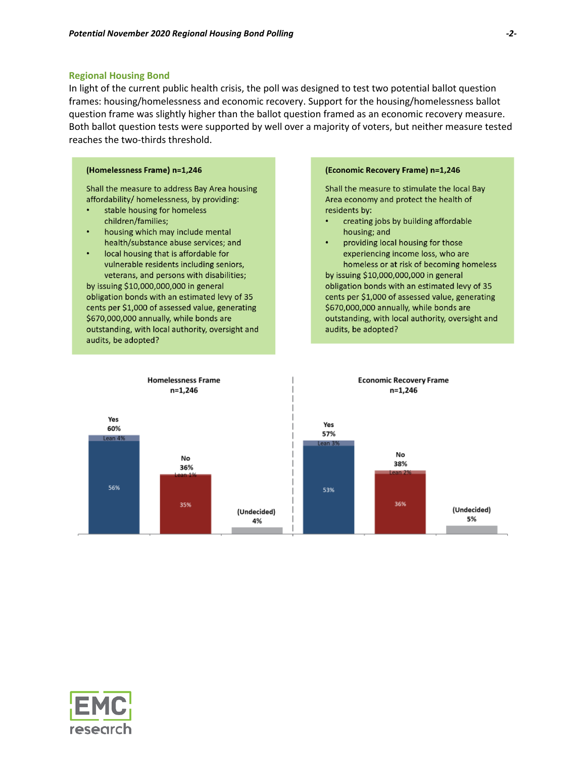#### **Regional Housing Bond**

In light of the current public health crisis, the poll was designed to test two potential ballot question frames: housing/homelessness and economic recovery. Support for the housing/homelessness ballot question frame was slightly higher than the ballot question framed as an economic recovery measure. Both ballot question tests were supported by well over a majority of voters, but neither measure tested reaches the two-thirds threshold.

### (Homelessness Frame) n=1,246

Shall the measure to address Bay Area housing affordability/ homelessness, by providing:

- stable housing for homeless children/families;
- housing which may include mental  $\bullet$ health/substance abuse services; and
- local housing that is affordable for vulnerable residents including seniors, veterans, and persons with disabilities;

by issuing \$10,000,000,000 in general obligation bonds with an estimated levy of 35 cents per \$1,000 of assessed value, generating \$670,000,000 annually, while bonds are outstanding, with local authority, oversight and audits, be adopted?

#### (Economic Recovery Frame) n=1,246

Shall the measure to stimulate the local Bay Area economy and protect the health of residents by:

- creating jobs by building affordable housing; and
- providing local housing for those experiencing income loss, who are homeless or at risk of becoming homeless by issuing \$10,000,000,000 in general

obligation bonds with an estimated levy of 35 cents per \$1,000 of assessed value, generating \$670,000,000 annually, while bonds are outstanding, with local authority, oversight and audits, be adopted?



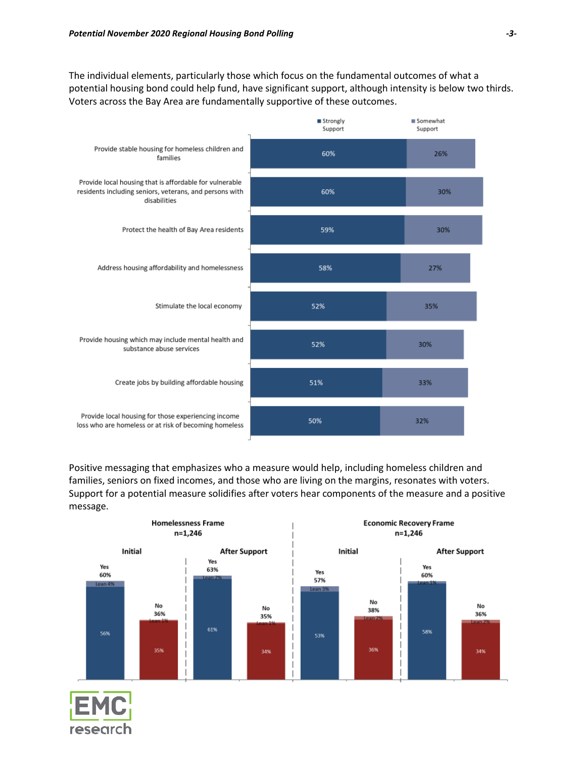The individual elements, particularly those which focus on the fundamental outcomes of what a potential housing bond could help fund, have significant support, although intensity is below two thirds. Voters across the Bay Area are fundamentally supportive of these outcomes.



Positive messaging that emphasizes who a measure would help, including homeless children and families, seniors on fixed incomes, and those who are living on the margins, resonates with voters. Support for a potential measure solidifies after voters hear components of the measure and a positive message.